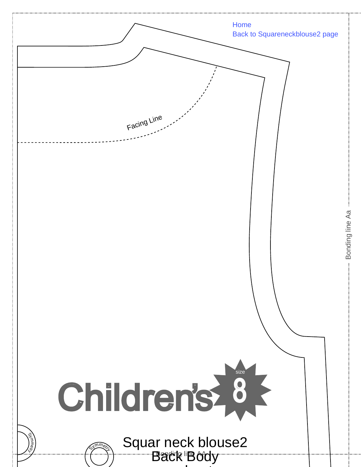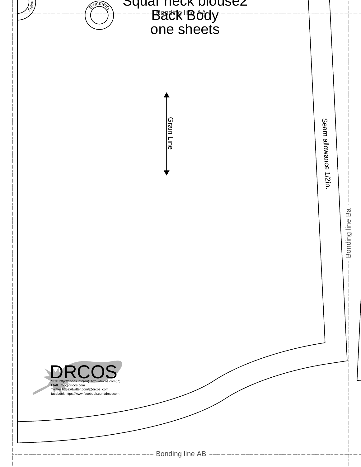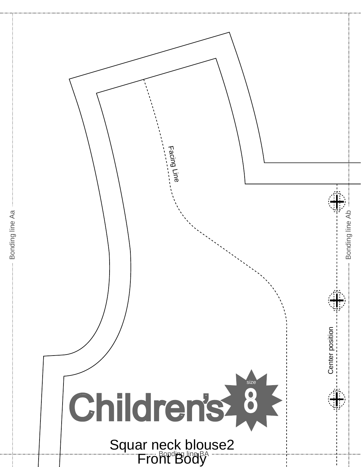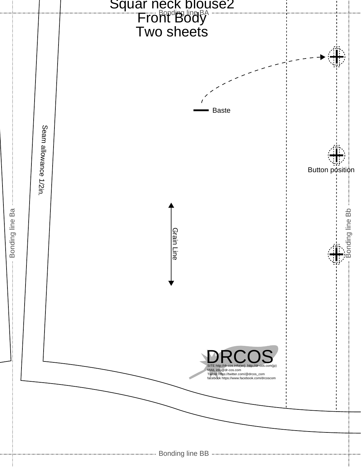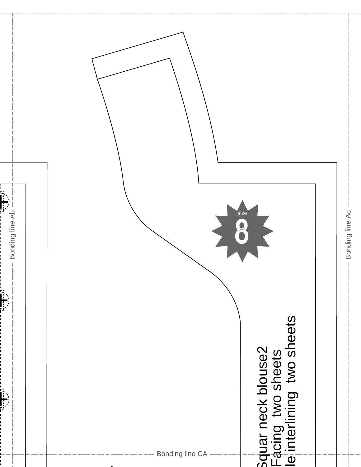